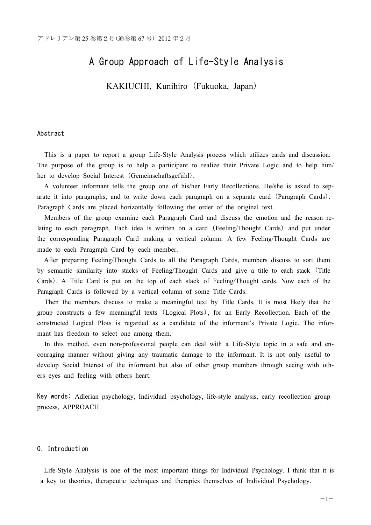# A Group Approach of Life-Style Analysis

KAKIUCHI, Kunihiro (Fukuoka, Japan)

# Abstract

This is a paper to report a group Life-Style Analysis process which utilizes cards and discussion. The purpose of the group is to help a participant to realize their Private Logic and to help him/ her to develop Social Interest (Gemeinschaftsgefühl).

A volunteer informant tells the group one of his/her Early Recollections. He/she is asked to separate it into paragraphs, and to write down each paragraph on a separate card (Paragraph Cards). Paragraph Cards are placed horizontally following the order of the original text.

Members of the group examine each Paragraph Card and discuss the emotion and the reason relating to each paragraph. Each idea is written on a card (Feeling/Thought Cards) and put under the corresponding Paragraph Card making a vertical column. A few Feeling/Thought Cards are made to each Paragraph Card by each member.

After preparing Feeling/Thought Cards to all the Paragraph Cards, members discuss to sort them by semantic similarity into stacks of Feeling/Thought Cards and give a title to each stack (Title Cards). A Title Card is put on the top of each stack of Feeling/Thought cards. Now each of the Paragraph Cards is followed by a vertical column of some Title Cards.

Then the members discuss to make a meaningful text by Title Cards. It is most likely that the group constructs a few meaningful texts (Logical Plots), for an Early Recollection. Each of the constructed Logical Plots is regarded as a candidate of the informant's Private Logic. The informant has freedom to select one among them.

In this method, even non-professional people can deal with a Life-Style topic in a safe and encouraging manner without giving any traumatic damage to the informant. It is not only useful to develop Social Interest of the informant but also of other group members through seeing with others eyes and feeling with others heart.

Key words: Adlerian psychology, Individual psychology, life-style analysis, early recollection group process, APPROACH

# 0. Introduction

Life-Style Analysis is one of the most important things for Individual Psychology. I think that it is a key to theories, therapeutic techniques and therapies themselves of Individual Psychology.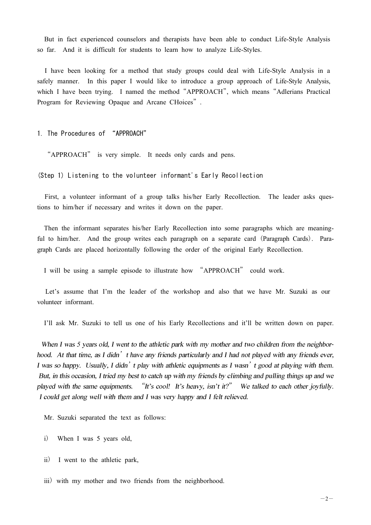But in fact experienced counselors and therapists have been able to conduct Life-Style Analysis so far. And it is difficult for students to learn how to analyze Life-Styles.

I have been looking for a method that study groups could deal with Life-Style Analysis in a safely manner. In this paper I would like to introduce a group approach of Life-Style Analysis, which I have been trying. I named the method "APPROACH", which means "Adlerians Practical Program for Reviewing Opaque and Arcane CHoices".

1. The Procedures of "APPROACH"

"APPROACH" is very simple. It needs only cards and pens.

(Step 1) Listening to the volunteer informant's Early Recollection

First, a volunteer informant of a group talks his/her Early Recollection. The leader asks questions to him/her if necessary and writes it down on the paper.

Then the informant separates his/her Early Recollection into some paragraphs which are meaningful to him/her. And the group writes each paragraph on a separate card (Paragraph Cards). Paragraph Cards are placed horizontally following the order of the original Early Recollection.

I will be using a sample episode to illustrate how "APPROACH" could work.

Let's assume that I'm the leader of the workshop and also that we have Mr. Suzuki as our volunteer informant.

I'll ask Mr. Suzuki to tell us one of his Early Recollections and it'll be written down on paper.

When I was 5 years old, I went to the athletic park with my mother and two children from the neighborhood. At that time, as I didn't have any friends particularly and I had not played with any friends ever, I was so happy. Usually, I didn't play with athletic equipments as I wasn't good at playing with them. But, in this occasion, I tried my best to catch up with my friends by climbing and pulling things up and we played with the same equipments. "It's cool! It's heavy, isn't it?" We talked to each other joyfully. I could get along well with them and I was very happy and I felt relieved.

Mr. Suzuki separated the text as follows:

i) When I was 5 years old,

ii) I went to the athletic park,

iii) with my mother and two friends from the neighborhood.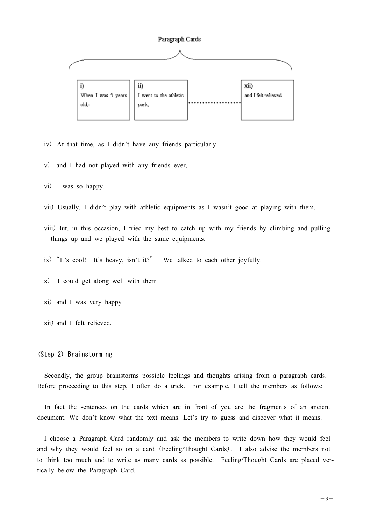

iv) At that time, as I didn't have any friends particularly

- v) and I had not played with any friends ever,
- vi) I was so happy.
- vii) Usually, I didn't play with athletic equipments as I wasn't good at playing with them.
- viii)But, in this occasion, I tried my best to catch up with my friends by climbing and pulling things up and we played with the same equipments.
- ix)"It's cool! It's heavy, isn't it?" We talked to each other joyfully.
- x) I could get along well with them
- xi) and I was very happy
- xii) and I felt relieved.

# (Step 2) Brainstorming

Secondly, the group brainstorms possible feelings and thoughts arising from a paragraph cards. Before proceeding to this step, I often do a trick. For example, I tell the members as follows:

In fact the sentences on the cards which are in front of you are the fragments of an ancient document. We don't know what the text means. Let's try to guess and discover what it means.

I choose a Paragraph Card randomly and ask the members to write down how they would feel and why they would feel so on a card (Feeling/Thought Cards). I also advise the members not to think too much and to write as many cards as possible. Feeling/Thought Cards are placed vertically below the Paragraph Card.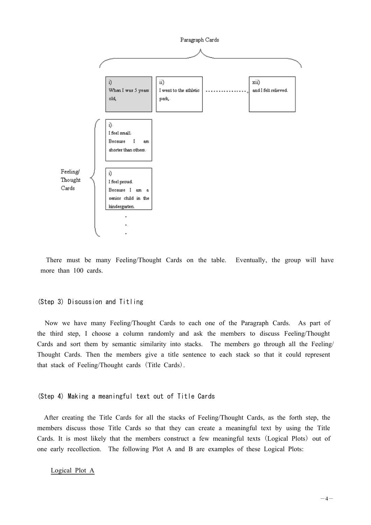

There must be many Feeling/Thought Cards on the table. Eventually, the group will have more than 100 cards.

## (Step 3) Discussion and Titling

Now we have many Feeling/Thought Cards to each one of the Paragraph Cards. As part of the third step, I choose a column randomly and ask the members to discuss Feeling/Thought Cards and sort them by semantic similarity into stacks. The members go through all the Feeling/ Thought Cards. Then the members give a title sentence to each stack so that it could represent that stack of Feeling/Thought cards (Title Cards).

## (Step 4) Making a meaningful text out of Title Cards

After creating the Title Cards for all the stacks of Feeling/Thought Cards, as the forth step, the members discuss those Title Cards so that they can create a meaningful text by using the Title Cards. It is most likely that the members construct a few meaningful texts (Logical Plots) out of one early recollection. The following Plot A and B are examples of these Logical Plots:

#### Logical Plot A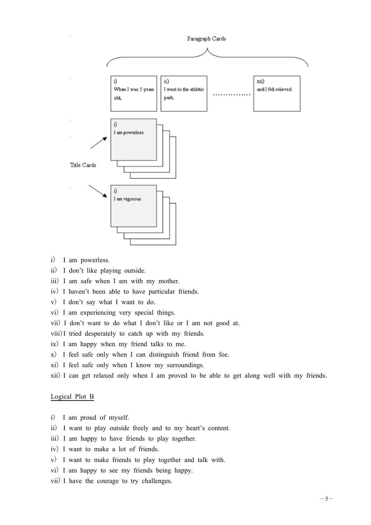

- i) I am powerless.
- ii) I don't like playing outside.
- iii) I am safe when I am with my mother.
- iv) I haven't been able to have particular friends.
- v) I don't say what I want to do.
- vi) I am experiencing very special things.
- vii) I don't want to do what I don't like or I am not good at.
- viii)I tried desperately to catch up with my friends.
- ix) I am happy when my friend talks to me.
- x) I feel safe only when I can distinguish friend from foe.
- xi) I feel safe only when I know my surroundings.
- xii) I can get relaxed only when I am proved to be able to get along well with my friends.

#### Logical Plot B

- i) I am proud of myself.
- ii) I want to play outside freely and to my heart's content.
- iii) I am happy to have friends to play together.
- iv) I want to make a lot of friends.
- v) I want to make friends to play together and talk with.
- vi) I am happy to see my friends being happy.
- vii) I have the courage to try challenges.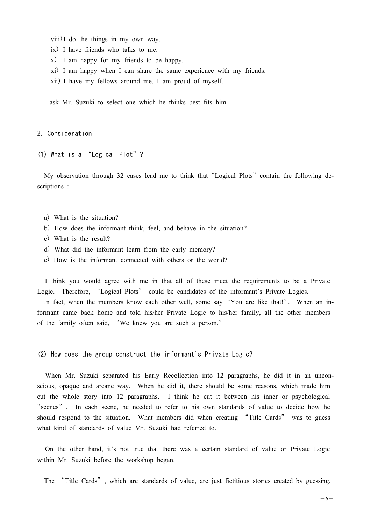- viii)I do the things in my own way.
- ix) I have friends who talks to me.
- x) I am happy for my friends to be happy.
- xi) I am happy when I can share the same experience with my friends.
- xii) I have my fellows around me. I am proud of myself.

I ask Mr. Suzuki to select one which he thinks best fits him.

# 2. Consideration

(1) What is a "Logical Plot"?

My observation through 32 cases lead me to think that "Logical Plots" contain the following descriptions :

- a) What is the situation?
- b) How does the informant think, feel, and behave in the situation?
- c) What is the result?
- d) What did the informant learn from the early memory?
- e) How is the informant connected with others or the world?

I think you would agree with me in that all of these meet the requirements to be a Private Logic. Therefore, "Logical Plots" could be candidates of the informant's Private Logics.

In fact, when the members know each other well, some say "You are like that!". When an informant came back home and told his/her Private Logic to his/her family, all the other members of the family often said, "We knew you are such a person."

(2) How does the group construct the informant's Private Logic?

When Mr. Suzuki separated his Early Recollection into 12 paragraphs, he did it in an unconscious, opaque and arcane way. When he did it, there should be some reasons, which made him cut the whole story into 12 paragraphs. I think he cut it between his inner or psychological "scenes". In each scene, he needed to refer to his own standards of value to decide how he should respond to the situation. What members did when creating "Title Cards" was to guess what kind of standards of value Mr. Suzuki had referred to.

On the other hand, it's not true that there was a certain standard of value or Private Logic within Mr. Suzuki before the workshop began.

The "Title Cards", which are standards of value, are just fictitious stories created by guessing.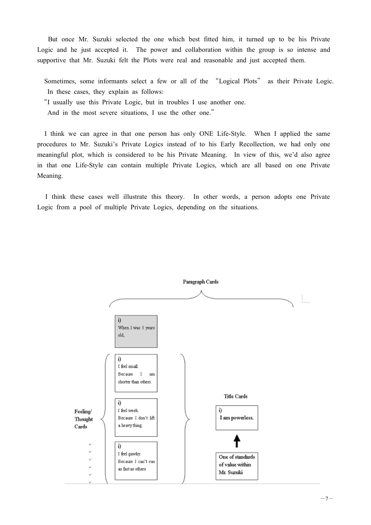But once Mr. Suzuki selected the one which best fitted him, it turned up to be his Private Logic and he just accepted it. The power and collaboration within the group is so intense and supportive that Mr. Suzuki felt the Plots were real and reasonable and just accepted them.

Sometimes, some informants select a few or all of the "Logical Plots" as their Private Logic. In these cases, they explain as follows:

"I usually use this Private Logic, but in troubles I use another one.

And in the most severe situations, I use the other one."

I think we can agree in that one person has only ONE Life-Style. When I applied the same procedures to Mr. Suzuki's Private Logics instead of to his Early Recollection, we had only one meaningful plot, which is considered to be his Private Meaning. In view of this, we'd also agree in that one Life-Style can contain multiple Private Logics, which are all based on one Private Meaning.

I think these cases well illustrate this theory. In other words, a person adopts one Private Logic from a pool of multiple Private Logics, depending on the situations.

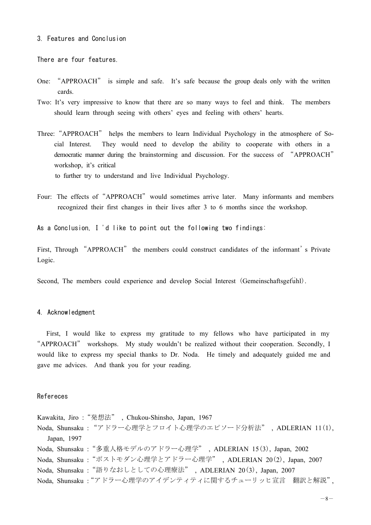#### 3. Features and Conclusion

There are four features.

- One: "APPROACH" is simple and safe. It's safe because the group deals only with the written cards.
- Two: It's very impressive to know that there are so many ways to feel and think. The members should learn through seeing with others' eyes and feeling with others' hearts.
- Three:"APPROACH" helps the members to learn Individual Psychology in the atmosphere of Social Interest. They would need to develop the ability to cooperate with others in a democratic manner during the brainstorming and discussion. For the success of "APPROACH" workshop, it's critical

to further try to understand and live Individual Psychology.

Four: The effects of "APPROACH" would sometimes arrive later. Many informants and members recognized their first changes in their lives after 3 to 6 months since the workshop.

As a Conclusion, I 'd like to point out the following two findings:

First, Through "APPROACH" the members could construct candidates of the informant's Private Logic.

Second, The members could experience and develop Social Interest (Gemeinschaftsgefühl).

## 4. Acknowledgment

First, I would like to express my gratitude to my fellows who have participated in my "APPROACH" workshops. My study wouldn't be realized without their cooperation. Secondly, I would like to express my special thanks to Dr. Noda. He timely and adequately guided me and gave me advices. And thank you for your reading.

## Refereces

Kawakita, Jiro: "発想法", Chukou-Shinsho, Japan, 1967 Noda, Shunsaku : "アドラー心理学とフロイト心理学のエピソード分析法", ADLERIAN 11(1), Japan, 1997 Noda, Shunsaku : "多重人格モデルのアドラー心理学", ADLERIAN 15(3), Japan, 2002 Noda, Shunsaku: "ポストモダン心理学とアドラー心理学", ADLERIAN 20(2), Japan, 2007 Noda, Shunsaku: "語りなおしとしての心理療法", ADLERIAN 20(3), Japan, 2007 Noda, Shunsaku: "アドラー心理学のアイデンティティに関するチューリッヒ宣言 翻訳と解説",